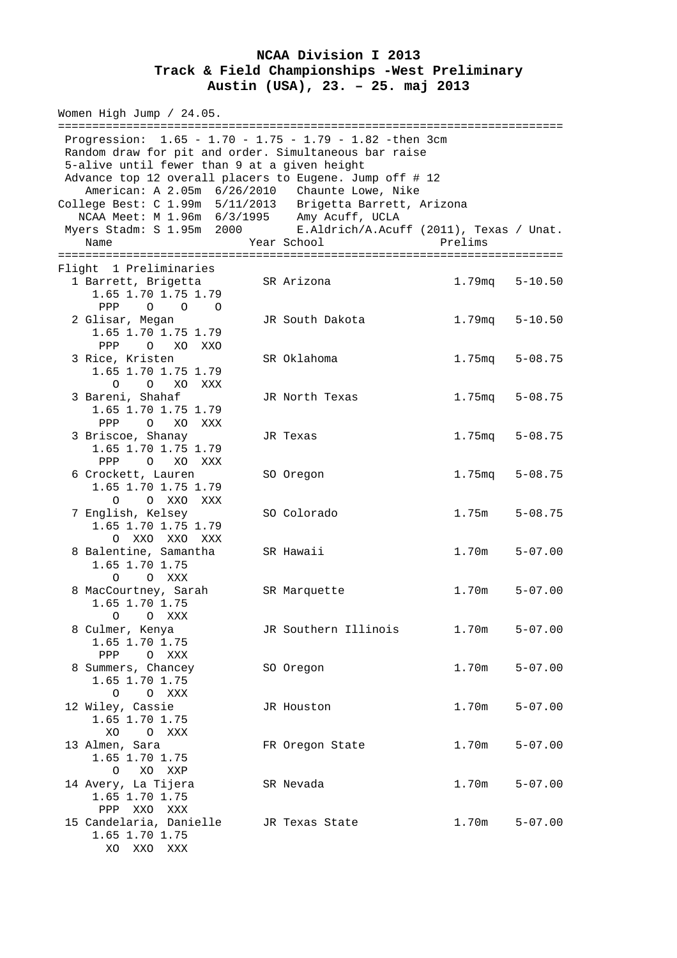## **NCAA Division I 2013 Track & Field Championships -West Preliminary Austin (USA), 23. – 25. maj 2013**

Women High Jump / 24.05. ========================================================================== Progression: 1.65 - 1.70 - 1.75 - 1.79 - 1.82 -then 3cm Random draw for pit and order. Simultaneous bar raise 5-alive until fewer than 9 at a given height Advance top 12 overall placers to Eugene. Jump off # 12 American: A 2.05m 6/26/2010 Chaunte Lowe, Nike College Best: C 1.99m 5/11/2013 Brigetta Barrett, Arizona NCAA Meet: M 1.96m 6/3/1995 Amy Acuff, UCLA Myers Stadm: S 1.95m 2000 E.Aldrich/A.Acuff (2011), Texas / Unat. Name Year School Prelims ========================================================================== Flight 1 Preliminaries 1 Barrett, Brigetta SR Arizona 1.79mq 5-10.50 1.65 1.70 1.75 1.79 PPP O O O 2 Glisar, Megan JR South Dakota 1.79mq 5-10.50 1.65 1.70 1.75 1.79 PPP O XO XXO 3 Rice, Kristen SR Oklahoma 1.75mq 5-08.75 1.65 1.70 1.75 1.79 O O XO XXX 3 Bareni, Shahaf JR North Texas 1.75mq 5-08.75 1.65 1.70 1.75 1.79 PPP O XO XXX 3 Briscoe, Shanay JR Texas 1.75mq 5-08.75 1.65 1.70 1.75 1.79 PPP O XO XXX 6 Crockett, Lauren SO Oregon 1.75mq 5-08.75 1.65 1.70 1.75 1.79 O O XXO XXX 7 English, Kelsey SO Colorado 1.75m 5-08.75 1.65 1.70 1.75 1.79 O XXO XXO XXX 8 Balentine, Samantha SR Hawaii 1.70m 5-07.00 1.65 1.70 1.75 O O XXX 8 MacCourtney, Sarah SR Marquette 1.70m 5-07.00 1.65 1.70 1.75 O O XXX 8 Culmer, Kenya JR Southern Illinois 1.70m 5-07.00 1.65 1.70 1.75 PPP O XXX 8 Summers, Chancey SO Oregon 1.70m 5-07.00 1.65 1.70 1.75 O O XXX 12 Wiley, Cassie JR Houston 1.70m 5-07.00 1.65 1.70 1.75 XO O XXX<br>13 Almen, Sara FR Oregon State 1.70m 5-07.00 1.65 1.70 1.75 O XO XXP 14 Avery, La Tijera SR Nevada 1.70m 5-07.00 1.65 1.70 1.75 PPP XXO XXX 15 Candelaria, Danielle JR Texas State 1.70m 5-07.00 1.65 1.70 1.75 XO XXO XXX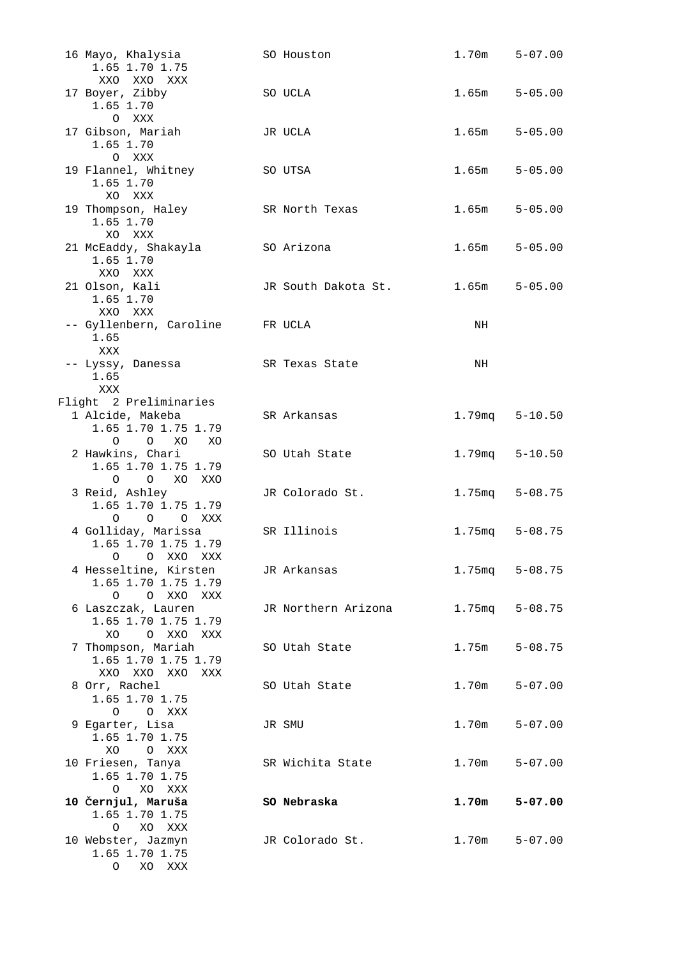| 16 Mayo, Khalysia<br>1.65 1.70 1.75        | SO Houston          | $1.70m$ $5-07.00$  |             |
|--------------------------------------------|---------------------|--------------------|-------------|
| XXO XXO XXX                                |                     |                    |             |
| 17 Boyer, Zibby<br>1.65 1.70<br>O XXX      | SO UCLA             | 1.65m              | $5 - 05.00$ |
| 17 Gibson, Mariah                          | JR UCLA             | 1.65m              | $5 - 05.00$ |
| 1.65 1.70<br>O XXX                         |                     |                    |             |
| 19 Flannel, Whitney                        | SO UTSA             | 1.65m              | $5 - 05.00$ |
| 1.65 1.70                                  |                     |                    |             |
| XO XXX                                     |                     |                    |             |
| 19 Thompson, Haley<br>1.65 1.70            | SR North Texas      | 1.65m              | $5 - 05.00$ |
| XO XXX                                     |                     |                    |             |
| 21 McEaddy, Shakayla                       | SO Arizona          | $1.65m$ $5-05.00$  |             |
| 1.65 1.70                                  |                     |                    |             |
| XXO XXX                                    |                     |                    |             |
| 21 Olson, Kali                             | JR South Dakota St. | $1.65m$ $5-05.00$  |             |
| 1.65 1.70                                  |                     |                    |             |
| XXO XXX<br>-- Gyllenbern, Caroline FR UCLA |                     | NH                 |             |
| 1.65                                       |                     |                    |             |
| XXX                                        |                     |                    |             |
| -- Lyssy, Danessa                          | SR Texas State      | NH                 |             |
| 1.65                                       |                     |                    |             |
| XXX                                        |                     |                    |             |
| Flight 2 Preliminaries<br>1 Alcide, Makeba | SR Arkansas         | $1.79mg$ $5-10.50$ |             |
| 1.65 1.70 1.75 1.79                        |                     |                    |             |
| $O$ $O$ $XO$<br>XO                         |                     |                    |             |
| 2 Hawkins, Chari                           | SO Utah State       | 1.79mq             | $5 - 10.50$ |
| 1.65 1.70 1.75 1.79                        |                     |                    |             |
| O O XO XXO                                 |                     |                    |             |
| 3 Reid, Ashley<br>1.65 1.70 1.75 1.79      | JR Colorado St.     | $1.75mg$ $5-08.75$ |             |
| O O O XXX                                  |                     |                    |             |
| 4 Golliday, Marissa                        | SR Illinois         | $1.75mg$ $5-08.75$ |             |
| 1.65 1.70 1.75 1.79                        |                     |                    |             |
| O O XXO XXX                                |                     |                    |             |
| 4 Hesseltine, Kirsten                      | JR Arkansas         | 1.75mq 5-08.75     |             |
| 1.65 1.70 1.75 1.79<br>O O XXO XXX         |                     |                    |             |
| 6 Laszczak, Lauren                         | JR Northern Arizona | 1.75mq 5-08.75     |             |
| 1.65 1.70 1.75 1.79                        |                     |                    |             |
| XO<br>O XXO XXX                            |                     |                    |             |
| 7 Thompson, Mariah                         | SO Utah State       | 1.75m              | $5 - 08.75$ |
| 1.65 1.70 1.75 1.79                        |                     |                    |             |
| XXO XXO XXO<br>XXX<br>8 Orr, Rachel        | SO Utah State       | 1.70m              | $5 - 07.00$ |
| 1.65 1.70 1.75                             |                     |                    |             |
| O O XXX                                    |                     |                    |             |
| 9 Egarter, Lisa                            | JR SMU              | 1.70m              | $5 - 07.00$ |
| 1.65 1.70 1.75                             |                     |                    |             |
| XO<br>O XXX                                |                     |                    |             |
| 10 Friesen, Tanya<br>1.65 1.70 1.75        | SR Wichita State    | 1.70m              | $5 - 07.00$ |
| $\circ$<br>XO XXX                          |                     |                    |             |
| 10 Černjul, Maruša                         | SO Nebraska         | 1.70m              | $5 - 07.00$ |
| 1.65 1.70 1.75                             |                     |                    |             |
| XO XXX<br>$\circ$                          |                     |                    |             |
| 10 Webster, Jazmyn<br>1.65 1.70 1.75       | JR Colorado St.     | 1.70m              | $5 - 07.00$ |
| O XO XXX                                   |                     |                    |             |
|                                            |                     |                    |             |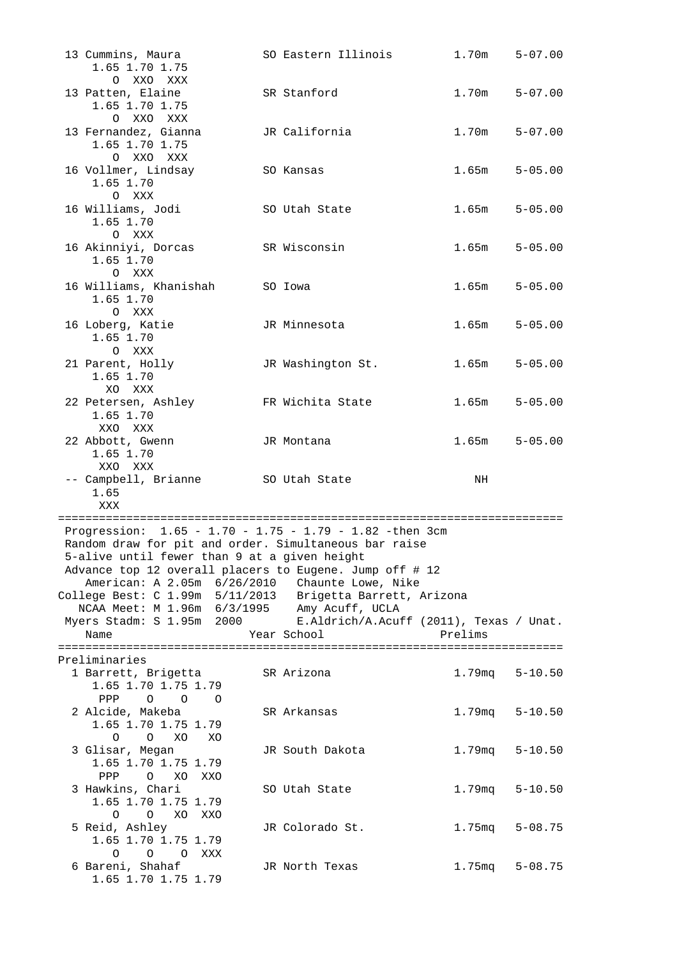| 13 Cummins, Maura<br>1.65 1.70 1.75                                                                         | SO Eastern Illinois                     | 1.70m              | $5 - 07.00$ |
|-------------------------------------------------------------------------------------------------------------|-----------------------------------------|--------------------|-------------|
| O XXO XXX<br>13 Patten, Elaine<br>1.65 1.70 1.75<br>O XXO XXX                                               | SR Stanford                             | 1.70m              | $5 - 07.00$ |
| 13 Fernandez, Gianna<br>1.65 1.70 1.75<br>O XXO XXX                                                         | JR California                           | 1.70m              | $5 - 07.00$ |
| 16 Vollmer, Lindsay<br>1.65 1.70<br>O XXX                                                                   | SO Kansas                               | 1.65m              | $5 - 05.00$ |
| 16 Williams, Jodi<br>1.65 1.70<br>O XXX                                                                     | SO Utah State                           | 1.65m              | $5 - 05.00$ |
| 16 Akinniyi, Dorcas<br>1.65 1.70<br>O XXX                                                                   | SR Wisconsin                            | 1.65m              | $5 - 05.00$ |
| 16 Williams, Khanishah<br>1.65 1.70<br>O XXX                                                                | SO Iowa                                 | 1.65m              | $5 - 05.00$ |
| 16 Loberg, Katie<br>1.65 1.70<br>O XXX                                                                      | JR Minnesota                            | 1.65m              | $5 - 05.00$ |
| 21 Parent, Holly<br>1.65 1.70<br>XO XXX                                                                     | JR Washington St.                       | 1.65m              | $5 - 05.00$ |
| 22 Petersen, Ashley<br>1.65 1.70<br>XXO XXX                                                                 | FR Wichita State                        | 1.65m              | $5 - 05.00$ |
| 22 Abbott, Gwenn<br>1.65 1.70<br>XXO XXX                                                                    | JR Montana                              | 1.65m              | $5 - 05.00$ |
| -- Campbell, Brianne<br>1.65<br>XXX                                                                         | SO Utah State                           | NH                 |             |
| Progression: 1.65 - 1.70 - 1.75 - 1.79 - 1.82 -then 3cm                                                     |                                         |                    |             |
| Random draw for pit and order. Simultaneous bar raise                                                       |                                         |                    |             |
| 5-alive until fewer than 9 at a given height                                                                |                                         |                    |             |
| Advance top 12 overall placers to Eugene. Jump off # 12<br>American: A 2.05m 6/26/2010 Chaunte Lowe, Nike   |                                         |                    |             |
| College Best: C 1.99m 5/11/2013 Brigetta Barrett, Arizona                                                   |                                         |                    |             |
| NCAA Meet: M 1.96m 6/3/1995 Amy Acuff, UCLA                                                                 |                                         |                    |             |
| Myers Stadm: S 1.95m 2000                                                                                   | E.Aldrich/A.Acuff (2011), Texas / Unat. | Prelims            |             |
| Name                                                                                                        | Year School                             |                    |             |
| Preliminaries                                                                                               |                                         |                    |             |
| 1 Barrett, Brigetta<br>1.65 1.70 1.75 1.79<br>$\begin{array}{ccccccccc}\n0 & 0 & 0 & 0\n\end{array}$<br>PPP | SR Arizona                              | 1.79mq 5-10.50     |             |
| 2 Alcide, Makeba<br>1.65 1.70 1.75 1.79<br>O XO<br>$\Omega$<br>XO                                           | SR Arkansas                             | $1.79mg$ $5-10.50$ |             |
| 3 Glisar, Megan<br>1.65 1.70 1.75 1.79                                                                      | JR South Dakota                         | 1.79mq             | $5 - 10.50$ |
| O XO XXO<br>PPP<br>3 Hawkins, Chari<br>1.65 1.70 1.75 1.79                                                  | SO Utah State                           | 1.79mq             | $5 - 10.50$ |
| $\overline{O}$<br>XO XXO<br>$\circ$<br>5 Reid, Ashley<br>1.65 1.70 1.75 1.79                                | JR Colorado St.                         | 1.75mq 5-08.75     |             |
| O O O XXX<br>6 Bareni, Shahaf<br>1.65 1.70 1.75 1.79                                                        | JR North Texas                          | $1.75mg$ $5-08.75$ |             |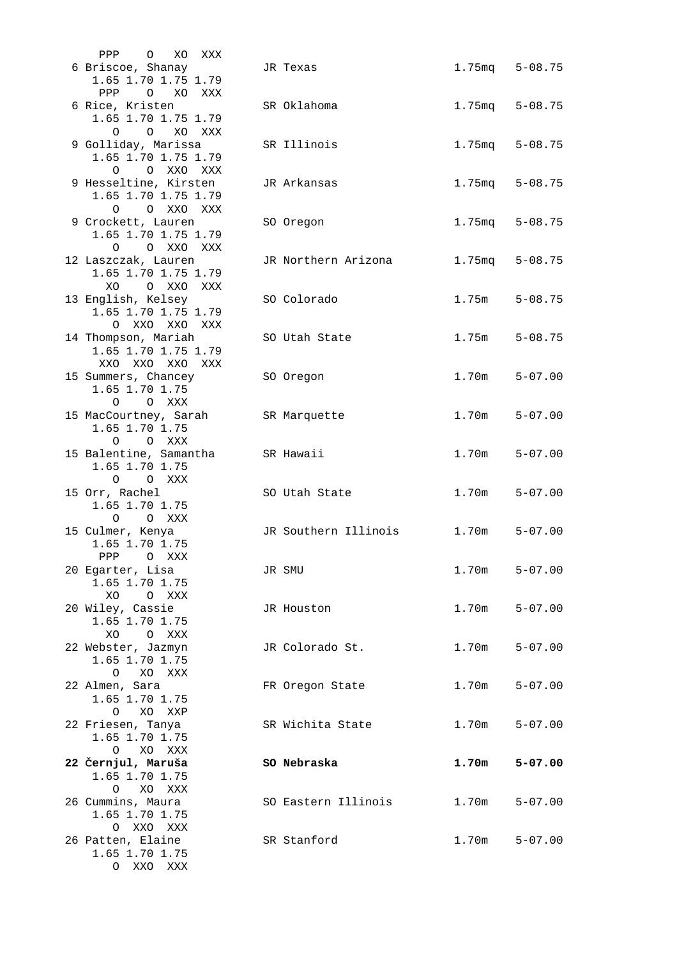| PPP O<br>XU<br>XXX       |                      |                    |             |
|--------------------------|----------------------|--------------------|-------------|
| 6 Briscoe, Shanay        | JR Texas             | $1.75mg$ $5-08.75$ |             |
| 1.65 1.70 1.75 1.79      |                      |                    |             |
| O XO XXX<br>$_{\rm PPP}$ |                      |                    |             |
|                          |                      |                    |             |
| 6 Rice, Kristen          | SR Oklahoma          | $1.75mg$ $5-08.75$ |             |
| 1.65 1.70 1.75 1.79      |                      |                    |             |
| O O XO XXX               |                      |                    |             |
| 9 Golliday, Marissa      |                      |                    |             |
|                          | SR Illinois          | 1.75mq             | $5 - 08.75$ |
| 1.65 1.70 1.75 1.79      |                      |                    |             |
| O O XXO XXX              |                      |                    |             |
| 9 Hesseltine, Kirsten    | JR Arkansas          | 1.75mq             | $5 - 08.75$ |
| 1.65 1.70 1.75 1.79      |                      |                    |             |
|                          |                      |                    |             |
| O O XXO XXX              |                      |                    |             |
| 9 Crockett, Lauren       | SO Oregon            | 1.75mg             | $5 - 08.75$ |
| 1.65 1.70 1.75 1.79      |                      |                    |             |
| O OXXOXXX                |                      |                    |             |
|                          |                      |                    |             |
| 12 Laszczak, Lauren      | JR Northern Arizona  | $1.75$ mq          | $5 - 08.75$ |
| 1.65 1.70 1.75 1.79      |                      |                    |             |
| O XXO XXX<br>XO.         |                      |                    |             |
| 13 English, Kelsey       | SO Colorado          | 1.75m              | $5 - 08.75$ |
|                          |                      |                    |             |
| 1.65 1.70 1.75 1.79      |                      |                    |             |
| O XXO XXO XXX            |                      |                    |             |
| 14 Thompson, Mariah      | SO Utah State        | 1.75m              | $5 - 08.75$ |
| 1.65 1.70 1.75 1.79      |                      |                    |             |
|                          |                      |                    |             |
| XXO XXO XXO XXX          |                      |                    |             |
| 15 Summers, Chancey      | SO Oregon            | 1.70m              | $5 - 07.00$ |
| 1.65 1.70 1.75           |                      |                    |             |
| $\Omega$<br>O XXX        |                      |                    |             |
|                          |                      |                    |             |
| 15 MacCourtney, Sarah    | SR Marquette         | 1.70m              | $5 - 07.00$ |
| 1.65 1.70 1.75           |                      |                    |             |
| O O XXX                  |                      |                    |             |
| 15 Balentine, Samantha   | SR Hawaii            | 1.70m              | $5 - 07.00$ |
| 1.65 1.70 1.75           |                      |                    |             |
|                          |                      |                    |             |
| O O XXX                  |                      |                    |             |
| 15 Orr, Rachel           | SO Utah State        | 1.70m              | $5 - 07.00$ |
| 1.65 1.70 1.75           |                      |                    |             |
| $\Omega$<br>O XXX        |                      |                    |             |
|                          |                      |                    |             |
| 15 Culmer, Kenya         | JR Southern Illinois | 1.70m              | $5 - 07.00$ |
| 1.65 1.70 1.75           |                      |                    |             |
| PPP<br>$\circ$<br>XXX    |                      |                    |             |
| 20 Egarter, Lisa         | JR SMU               | 1.70m              | $5 - 07.00$ |
|                          |                      |                    |             |
| 1.65 1.70 1.75           |                      |                    |             |
| XO<br>O XXX              |                      |                    |             |
| 20 Wiley, Cassie         | JR Houston           | 1.70m              | $5 - 07.00$ |
| 1.65 1.70 1.75           |                      |                    |             |
| XO<br>O XXX              |                      |                    |             |
|                          |                      |                    |             |
| 22 Webster, Jazmyn       | JR Colorado St.      | 1.70m              | $5 - 07.00$ |
| 1.65 1.70 1.75           |                      |                    |             |
| O XO XXX                 |                      |                    |             |
|                          |                      | 1.70m              | $5 - 07.00$ |
| 22 Almen, Sara           | FR Oregon State      |                    |             |
| 1.65 1.70 1.75           |                      |                    |             |
| XO<br>$\circ$<br>XXP     |                      |                    |             |
| 22 Friesen, Tanya        | SR Wichita State     | 1.70m              | $5 - 07.00$ |
| 1.65 1.70 1.75           |                      |                    |             |
|                          |                      |                    |             |
| O<br>XO XXX              |                      |                    |             |
| 22 Černjul, Maruša       | SO Nebraska          | 1.70m              | $5 - 07.00$ |
| 1.65 1.70 1.75           |                      |                    |             |
| $\circ$<br>XO XXX        |                      |                    |             |
| 26 Cummins, Maura        | SO Eastern Illinois  | 1.70m              | $5 - 07.00$ |
|                          |                      |                    |             |
| 1.65 1.70 1.75           |                      |                    |             |
| O XXO XXX                |                      |                    |             |
| 26 Patten, Elaine        | SR Stanford          | 1.70m              | $5 - 07.00$ |
| 1.65 1.70 1.75           |                      |                    |             |
|                          |                      |                    |             |